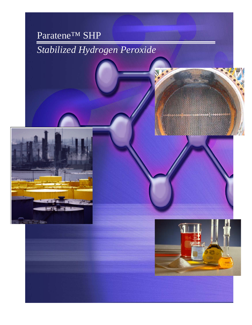# Paratene™ SHP

# *Stabilized Hydrogen Peroxide*



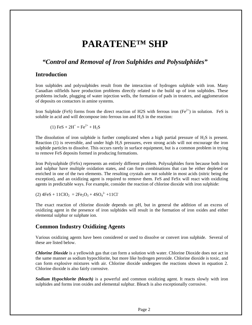# **PARATENE™ SHP**

# *"Control and Removal of Iron Sulphides and Polysulphides"*

#### **Introduction**

Iron sulphides and polysulphides result from the interaction of hydrogen sulphide with iron. Many Canadian oilfields have production problems directly related to the build up of iron sulphides. These problems include, plugging of water injection wells, the formation of pads in treaters, and agglomeration of deposits on contactors in amine systems.

Iron Sulphide (FeS) forms from the direct reaction of H2S with ferrous iron (Fe<sup>2+</sup>) in solution. FeS is soluble in acid and will decompose into ferrous ion and  $H<sub>2</sub>S$  in the reaction:

(1) FeS +  $2H^+ = Fe^{2+} + H_2S$ 

The dissolution of iron sulphide is further complicated when a high partial pressure of  $H_2S$  is present. Reaction (1) is reversible, and under high H2S pressures, even strong acids will not encourage the iron sulphide particles to dissolve. This occurs rarely in surface equipment, but is a common problem in trying to remove FeS deposits formed in producing formations.

Iron Polysulphide (FeSx) represents an entirely different problem. Polysulphides form because both iron and sulphur have multiple oxidation states, and can form combinations that can be either depleted or enriched in one of the two elements. The resulting crystals are not soluble in most acids (nitric being the exception), and an oxidizing agent is required to remove them. FeS and FeSx will react with oxidizing agents in predictable ways. For example, consider the reaction of chlorine dioxide with iron sulphide:

 $(2)$  4FeS + 11ClO<sub>2</sub> = 2Fe<sub>2</sub>O<sub>3</sub> + 4SO<sub>4</sub><sup>2</sup> + 11Cl<sup>-</sup>

The exact reaction of chlorine dioxide depends on pH, but in general the addition of an excess of oxidizing agent in the presence of iron sulphides will result in the formation of iron oxides and either elemental sulphur or sulphate ion.

# **Common Industry Oxidizing Agents**

Various oxidizing agents have been considered or used to dissolve or convert iron sulphide. Several of these are listed below.

*Chlorine Dioxide* is a yellowish gas that can form a solution with water. Chlorine Dioxide does not act in the same manner as sodium hypochlorite, but more like hydrogen peroxide. Chlorine dioxide is toxic, and can form explosive mixtures with air. Chlorine dioxide undergoes the reactions shown in equation 2. Chlorine dioxide is also fairly corrosive.

*Sodium Hypochlorite (bleach)* is a powerful and common oxidizing agent. It reacts slowly with iron sulphides and forms iron oxides and elemental sulphur. Bleach is also exceptionally corrosive.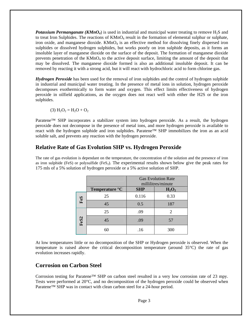**Potassium Permanganate (KMnO<sub>4</sub>)** is used in industrial and municipal water treating to remove  $H_2S$  and to treat Iron Sulphides. The reactions of  $KMnO<sub>4</sub>$  result in the formation of elemental sulphur or sulphate, iron oxide, and manganese dioxide. KMnO<sub>4</sub> is an effective method for dissolving finely dispersed iron sulphides or dissolved hydrogen sulphides, but works poorly on iron sulphide deposits, as it forms an insoluble layer of manganese dioxide on the surface of the deposit. The formation of manganese dioxide prevents penetration of the KMnO4 to the active deposit surface, limiting the amount of the deposit that may be dissolved. The manganese dioxide formed is also an additional insoluble deposit. It can be removed by reacting it with a strong acid, but it will react with hydrochloric acid to form chlorine gas.

*Hydrogen Peroxide* has been used for the removal of iron sulphides and the control of hydrogen sulphide in industrial and municipal water treating. In the presence of metal ions in solution, hydrogen peroxide decomposes exothermically to form water and oxygen. This effect limits effectiveness of hydrogen peroxide in oilfield applications, as the oxygen does not react well with either the H2S or the iron sulphides.

(3)  $H_2O_2 = H_2O + O_2$ 

Paratene™ SHP incorporates a stabilizer system into hydrogen peroxide. As a result, the hydrogen peroxide does not decompose in the presence of metal ions, and more hydrogen peroxide is available to react with the hydrogen sulphide and iron sulphides. Paratene™ SHP immobilizes the iron as an acid soluble salt, and prevents any reaction with the hydrogen peroxide.

### **Relative Rate of Gas Evolution SHP vs. Hydrogen Peroxide**

The rate of gas evolution is dependant on the temperature, the concentration of the solution and the presence of iron as iron sulphide (FeS) or polysulfide ( $F \in S_2$ ). The experimental results shown below give the peak rates for 175 mls of a 5% solution of hydrogen peroxide or a 5% active solution of SHP.

|      | Temperature °C | <b>Gas Evolution Rate</b><br>millilitres/minute<br><b>SHP</b><br>$H_2O_2$ |      |
|------|----------------|---------------------------------------------------------------------------|------|
| FeS  | 25             | 0.116                                                                     | 0.33 |
|      | 45             | 0.5                                                                       | 187  |
| FeS2 | 25             | .09                                                                       | 2    |
|      | 45             | .09                                                                       | 57   |
|      | 60             | .16                                                                       | 300  |

At low temperatures little or no decomposition of the SHP or Hydrogen peroxide is observed. When the temperature is raised above the critical decomposition temperature (around 35°C) the rate of gas evolution increases rapidly.

### **Corrosion on Carbon Steel**

Corrosion testing for Paratene™ SHP on carbon steel resulted in a very low corrosion rate of 23 mpy. Tests were performed at 20°C, and no decomposition of the hydrogen peroxide could be observed when Paratene™ SHP was in contact with clean carbon steel for a 24-hour period.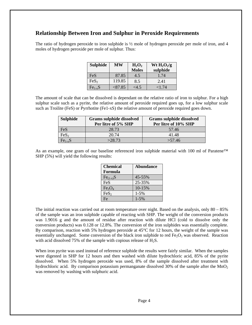# **Relationship Between Iron and Sulphur in Peroxide Requirements**

The ratio of hydrogen peroxide to iron sulphide is ½ mole of hydrogen peroxide per mole of iron, and 4 moles of hydrogen peroxide per mole of sulphur. Thus:

| <b>Sulphide</b>  | MW      | $H_2O_2$<br><b>Moles</b> | Wt $H_2O_2/g$<br>sulphide |
|------------------|---------|--------------------------|---------------------------|
| <b>FeS</b>       | 87.85   | 4.5                      | 1.74                      |
| FeS <sub>2</sub> | 119.85  | 8.5                      | 2.41                      |
| $Fe1-xS$         | < 87.85 | <4.5                     | ${<}1.74$                 |

The amount of scale that can be dissolved is dependant on the relative ratio of iron to sulphur. For a high sulphur scale such as a pyrite, the relative amount of peroxide required goes up, for a low sulphur scale such as Troilite (FeS) or Pyrrhotite (Fe1-xS) the relative amount of peroxide required goes down.

| <b>Sulphide</b>  | Grams sulphide dissolved<br>Per litre of 5% SHP | <b>Grams sulphide dissolved</b><br>Per litre of 10% SHP |
|------------------|-------------------------------------------------|---------------------------------------------------------|
| FeS              | 28.73                                           | 57.46                                                   |
| FeS <sub>2</sub> | 20.74                                           | 41.48                                                   |
| $Fe1-xS$         | >28.73                                          | >57.46                                                  |

As an example, one gram of our baseline referenced iron sulphide material with 100 ml of Paratene™ SHP (5%) will yield the following results:

| <b>Chemical</b>                | <b>Abundance</b> |
|--------------------------------|------------------|
| Formula                        |                  |
| $Fe(1-x)S$                     | 45-55%           |
| FeS                            | 25-35%           |
| Fe <sub>3</sub> O <sub>4</sub> | 10-15%           |
| FeS <sub>2</sub>               | $1 - 5%$         |
| Fe                             | $1 - 5\%$        |

The initial reaction was carried out at room temperature over night. Based on the analysis, only  $80 - 85\%$ of the sample was an iron sulphide capable of reacting with SHP. The weight of the conversion products was 1.9016 g and the amount of residue after reaction with dilute HCl (cold to dissolve only the conversion products) was 0.128 or 12.8%. The conversion of the iron sulphides was essentially complete. By comparison, reaction with 5% hydrogen peroxide at 45°C for 12 hours, the weight of the sample was essentially unchanged. Some conversion of the black iron sulphide to red  $Fe<sub>2</sub>O<sub>3</sub>$  was observed. Reaction with acid dissolved 75% of the sample with copious release of  $H_2S$ .

When iron pyrite was used instead of reference sulphide the results were fairly similar. When the samples were digested in SHP for 12 hours and then washed with dilute hydrochloric acid, 85% of the pyrite dissolved. When 5% hydrogen peroxide was used, 8% of the sample dissolved after treatment with hydrochloric acid. By comparison potassium permanganate dissolved 30% of the sample after the  $MnO<sub>2</sub>$ was removed by washing with sulphuric acid.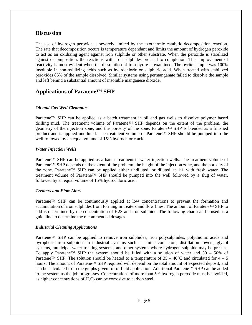#### **Discussion**

The use of hydrogen peroxide is severely limited by the exothermic catalytic decomposition reaction. The rate that decomposition occurs is temperature dependant and limits the amount of hydrogen peroxide to act as an oxidizing agent against iron sulphide or other substrate. When the peroxide is stabilized against decomposition, the reactions with iron sulphides proceed to completion. This improvement of reactivity is most evident when the dissolution of iron pyrite is examined. The pyrite sample was 100% insoluble in non-oxidizing acids such as hydrochloric or sulphuric acid. When treated with stabilized peroxides 85% of the sample dissolved. Similar systems using permanganate failed to dissolve the sample and left behind a substantial amount of insoluble manganese dioxide.

# **Applications of Paratene™ SHP**

#### *Oil and Gas Well Cleanouts*

Paratene™ SHP can be applied as a batch treatment in oil and gas wells to dissolve polymer based drilling mud. The treatment volume of Paratene™ SHP depends on the extent of the problem, the geometry of the injection zone, and the porosity of the zone. Paratene™ SHP is blended as a finished product and is applied undiluted. The treatment volume of Paratene™ SHP should be pumped into the well followed by an equal volume of 15% hydrochloric acid

#### *Water Injection Wells*

Paratene™ SHP can be applied as a batch treatment in water injection wells. The treatment volume of Paratene<sup>™</sup> SHP depends on the extent of the problem, the height of the injection zone, and the porosity of the zone. Paratene™ SHP can be applied either undiluted, or diluted at 1:1 with fresh water. The treatment volume of Paratene™ SHP should be pumped into the well followed by a slug of water, followed by an equal volume of 15% hydrochloric acid.

#### *Treaters and Flow Lines*

Paratene™ SHP can be continuously applied at low concentrations to prevent the formation and accumulation of iron sulphides from forming in treaters and flow lines. The amount of Paratene™ SHP to add is determined by the concentration of H2S and iron sulphide. The following chart can be used as a guideline to determine the recommended dosages.

#### *Industrial Cleaning Applications*

Paratene™ SHP can be applied to remove iron sulphides, iron polysulphides, polythionic acids and pyrophoric iron sulphides in industrial systems such as amine contactors, distillation towers, glycol systems, municipal water treating systems, and other systems where hydrogen sulphide may be present. To apply Paratene<sup>TM</sup> SHP the system should be filled with a solution of water and 30 – 50% of Paratene<sup>™</sup> SHP. The solution should be heated to a temperature of  $35 - 40^{\circ}$ C and circulated for  $4 - 5$ hours. The amount of Paratene™ SHP required will depend on the total amount of expected deposit, and can be calculated from the graphs given for oilfield application. Additional Paratene™ SHP can be added to the system as the job progresses. Concentrations of more than 5% hydrogen peroxide must be avoided, as higher concentrations of  $H_2O_2$  can be corrosive to carbon steel